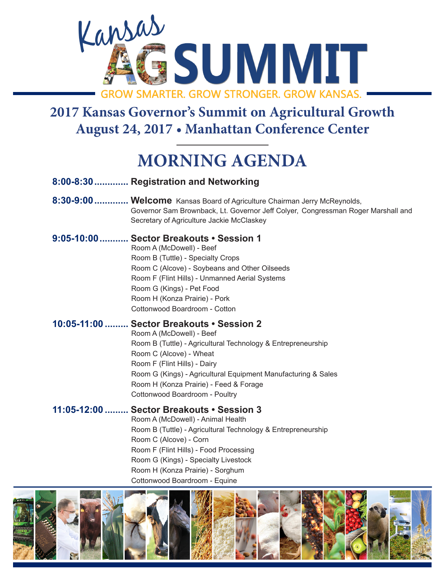

# **August 24, 2017 • Manhattan Conference Center**

### **MORNING AGENDA**

| 8:00-8:30 Registration and Networking                                                                                                                                                                                                                                                                                                         |
|-----------------------------------------------------------------------------------------------------------------------------------------------------------------------------------------------------------------------------------------------------------------------------------------------------------------------------------------------|
| 8:30-9:00  Welcome Kansas Board of Agriculture Chairman Jerry McReynolds,<br>Governor Sam Brownback, Lt. Governor Jeff Colyer, Congressman Roger Marshall and<br>Secretary of Agriculture Jackie McClaskey                                                                                                                                    |
| 9:05-10:00  Sector Breakouts • Session 1<br>Room A (McDowell) - Beef<br>Room B (Tuttle) - Specialty Crops<br>Room C (Alcove) - Soybeans and Other Oilseeds<br>Room F (Flint Hills) - Unmanned Aerial Systems<br>Room G (Kings) - Pet Food<br>Room H (Konza Prairie) - Pork<br>Cottonwood Boardroom - Cotton                                   |
| 10:05-11:00  Sector Breakouts • Session 2<br>Room A (McDowell) - Beef<br>Room B (Tuttle) - Agricultural Technology & Entrepreneurship<br>Room C (Alcove) - Wheat<br>Room F (Flint Hills) - Dairy<br>Room G (Kings) - Agricultural Equipment Manufacturing & Sales<br>Room H (Konza Prairie) - Feed & Forage<br>Cottonwood Boardroom - Poultry |
| 11:05-12:00  Sector Breakouts . Session 3<br>Room A (McDowell) - Animal Health<br>Room B (Tuttle) - Agricultural Technology & Entrepreneurship<br>Room C (Alcove) - Corn<br>Room F (Flint Hills) - Food Processing<br>Room G (Kings) - Specialty Livestock<br>Room H (Konza Prairie) - Sorghum                                                |

Cottonwood Boardroom - Equine